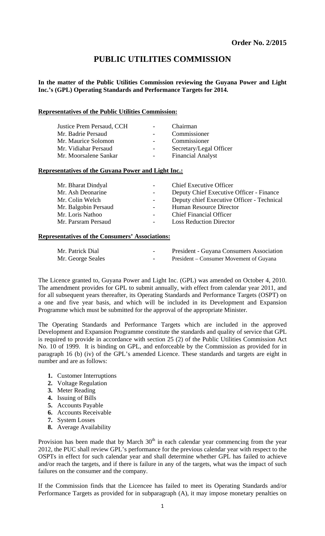# **PUBLIC UTILITIES COMMISSION**

**In the matter of the Public Utilities Commission reviewing the Guyana Power and Light Inc.'s (GPL) Operating Standards and Performance Targets for 2014.** 

#### **Representatives of the Public Utilities Commission:**

| Justice Prem Persaud, CCH<br>Mr. Badrie Persaud |                          | Chairman<br>Commissioner |
|-------------------------------------------------|--------------------------|--------------------------|
| Mr. Maurice Solomon                             |                          | Commissioner             |
| Mr. Vidiahar Persaud                            | $\overline{\phantom{0}}$ | Secretary/Legal Officer  |
| Mr. Moorsalene Sankar                           |                          | <b>Financial Analyst</b> |

# **Representatives of the Guyana Power and Light Inc.:**

| $\sim 100$ | <b>Chief Executive Officer</b>             |
|------------|--------------------------------------------|
|            | Deputy Chief Executive Officer - Finance   |
|            | Deputy chief Executive Officer - Technical |
|            | Human Resource Director                    |
|            | <b>Chief Financial Officer</b>             |
|            | <b>Loss Reduction Director</b>             |
|            |                                            |

#### **Representatives of the Consumers' Associations:**

| Mr. Patrick Dial  | $\overline{\phantom{0}}$ | <b>President - Guyana Consumers Association</b> |
|-------------------|--------------------------|-------------------------------------------------|
| Mr. George Seales | $\overline{\phantom{a}}$ | President – Consumer Movement of Guyana         |

The Licence granted to, Guyana Power and Light Inc. (GPL) was amended on October 4, 2010. The amendment provides for GPL to submit annually, with effect from calendar year 2011, and for all subsequent years thereafter, its Operating Standards and Performance Targets (OSPT) on a one and five year basis, and which will be included in its Development and Expansion Programme which must be submitted for the approval of the appropriate Minister.

The Operating Standards and Performance Targets which are included in the approved Development and Expansion Programme constitute the standards and quality of service that GPL is required to provide in accordance with section 25 (2) of the Public Utilities Commission Act No. 10 of 1999. It is binding on GPL, and enforceable by the Commission as provided for in paragraph 16 (b) (iv) of the GPL's amended Licence. These standards and targets are eight in number and are as follows:

- **1.** Customer Interruptions
- **2.** Voltage Regulation
- **3.** Meter Reading
- **4.** Issuing of Bills
- **5.** Accounts Payable
- **6.** Accounts Receivable
- **7.** System Losses
- **8.** Average Availability

Provision has been made that by March  $30<sup>th</sup>$  in each calendar year commencing from the year 2012, the PUC shall review GPL's performance for the previous calendar year with respect to the OSPTs in effect for such calendar year and shall determine whether GPL has failed to achieve and/or reach the targets, and if there is failure in any of the targets, what was the impact of such failures on the consumer and the company.

If the Commission finds that the Licencee has failed to meet its Operating Standards and/or Performance Targets as provided for in subparagraph (A), it may impose monetary penalties on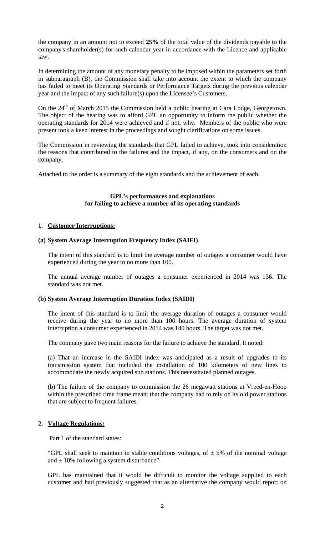the company in an amount not to exceed **25%** of the total value of the dividends payable to the company's shareholder(s) for such calendar year in accordance with the Licence and applicable law.

In determining the amount of any monetary penalty to be imposed within the parameters set forth in subparagraph (B), the Commission shall take into account the extent to which the company has failed to meet its Operating Standards or Performance Targets during the previous calendar year and the impact of any such failure(s) upon the Licensee's Customers.

On the 24<sup>th</sup> of March 2015 the Commission held a public hearing at Cara Lodge, Georgetown. The object of the hearing was to afford GPL an opportunity to inform the public whether the operating standards for 2014 were achieved and if not, why. Members of the public who were present took a keen interest in the proceedings and sought clarifications on some issues.

The Commission in reviewing the standards that GPL failed to achieve, took into consideration the reasons that contributed to the failures and the impact, if any, on the consumers and on the company.

Attached to the order is a summary of the eight standards and the achievement of each.

# **GPL's performances and explanations for failing to achieve a number of its operating standards**

#### **1. Customer Interruptions:**

#### **(a) System Average Interruption Frequency Index (SAIFI)**

The intent of this standard is to limit the average number of outages a consumer would have experienced during the year to no more than 100.

The annual average number of outages a consumer experienced in 2014 was 136. The standard was not met.

#### **(b) System Average Interruption Duration Index (SAIDI)**

The intent of this standard is to limit the average duration of outages a consumer would receive during the year to no more than 100 hours. The average duration of system interruption a consumer experienced in 2014 was 140 hours. The target was not met.

The company gave two main reasons for the failure to achieve the standard. It noted:

(a) That an increase in the SAIDI index was anticipated as a result of upgrades to its transmission system that included the installation of 100 kilometers of new lines to accommodate the newly acquired sub stations. This necessitated planned outages.

(b) The failure of the company to commission the 26 megawatt stations at Vreed-en-Hoop within the prescribed time frame meant that the company had to rely on its old power stations that are subject to frequent failures.

#### **2. Voltage Regulations:**

Part 1 of the standard states:

"GPL shall seek to maintain in stable conditions voltages, of  $\pm$  5% of the nominal voltage and  $\pm$  10% following a system disturbance".

GPL has maintained that it would be difficult to monitor the voltage supplied to each customer and had previously suggested that as an alternative the company would report on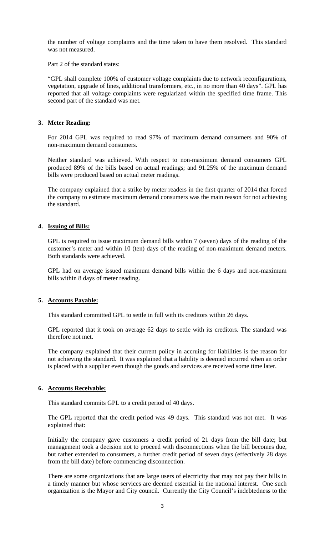the number of voltage complaints and the time taken to have them resolved. This standard was not measured.

Part 2 of the standard states:

"GPL shall complete 100% of customer voltage complaints due to network reconfigurations, vegetation, upgrade of lines, additional transformers, etc., in no more than 40 days". GPL has reported that all voltage complaints were regularized within the specified time frame. This second part of the standard was met.

# **3. Meter Reading:**

For 2014 GPL was required to read 97% of maximum demand consumers and 90% of non‐maximum demand consumers.

Neither standard was achieved. With respect to non‐maximum demand consumers GPL produced 89% of the bills based on actual readings; and 91.25% of the maximum demand bills were produced based on actual meter readings.

The company explained that a strike by meter readers in the first quarter of 2014 that forced the company to estimate maximum demand consumers was the main reason for not achieving the standard.

# **4. Issuing of Bills:**

GPL is required to issue maximum demand bills within 7 (seven) days of the reading of the customer's meter and within 10 (ten) days of the reading of non-maximum demand meters. Both standards were achieved.

GPL had on average issued maximum demand bills within the 6 days and non-maximum bills within 8 days of meter reading.

# **5. Accounts Payable:**

This standard committed GPL to settle in full with its creditors within 26 days.

GPL reported that it took on average 62 days to settle with its creditors. The standard was therefore not met.

The company explained that their current policy in accruing for liabilities is the reason for not achieving the standard. It was explained that a liability is deemed incurred when an order is placed with a supplier even though the goods and services are received some time later.

# **6. Accounts Receivable:**

This standard commits GPL to a credit period of 40 days.

The GPL reported that the credit period was 49 days. This standard was not met. It was explained that:

Initially the company gave customers a credit period of 21 days from the bill date; but management took a decision not to proceed with disconnections when the bill becomes due, but rather extended to consumers, a further credit period of seven days (effectively 28 days from the bill date) before commencing disconnection.

There are some organizations that are large users of electricity that may not pay their bills in a timely manner but whose services are deemed essential in the national interest. One such organization is the Mayor and City council. Currently the City Council's indebtedness to the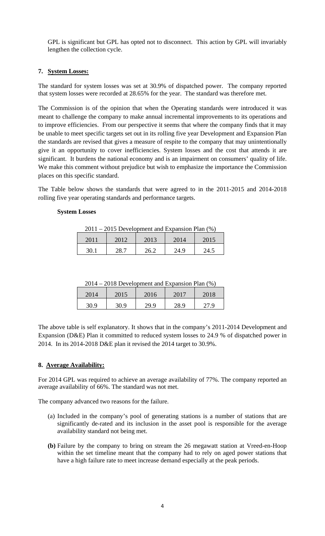GPL is significant but GPL has opted not to disconnect. This action by GPL will invariably lengthen the collection cycle.

# **7. System Losses:**

The standard for system losses was set at 30.9% of dispatched power. The company reported that system losses were recorded at 28.65% for the year. The standard was therefore met.

The Commission is of the opinion that when the Operating standards were introduced it was meant to challenge the company to make annual incremental improvements to its operations and to improve efficiencies. From our perspective it seems that where the company finds that it may be unable to meet specific targets set out in its rolling five year Development and Expansion Plan the standards are revised that gives a measure of respite to the company that may unintentionally give it an opportunity to cover inefficiencies. System losses and the cost that attends it are significant. It burdens the national economy and is an impairment on consumers' quality of life. We make this comment without prejudice but wish to emphasize the importance the Commission places on this specific standard.

The Table below shows the standards that were agreed to in the 2011-2015 and 2014-2018 rolling five year operating standards and performance targets.

# **System Losses**

| $2011 - 2015$ Development and Expansion Plan $(\%)$ |      |      |      |      |
|-----------------------------------------------------|------|------|------|------|
| 2011                                                | 2012 | 2013 | 2014 | 2015 |
| 30 I                                                | 28.7 | 26.2 | 24.9 | 24.5 |

| 2014 | 2015 | 2016 | 2017 | 2018 |
|------|------|------|------|------|
| 30.9 | 30.9 | 29.9 | 28.9 |      |

The above table is self explanatory. It shows that in the company's 2011-2014 Development and Expansion (D&E) Plan it committed to reduced system losses to 24.9 % of dispatched power in 2014. In its 2014-2018 D&E plan it revised the 2014 target to 30.9%.

# **8. Average Availability:**

For 2014 GPL was required to achieve an average availability of 77%. The company reported an average availability of 66%. The standard was not met.

The company advanced two reasons for the failure.

- (a) Included in the company's pool of generating stations is a number of stations that are significantly de-rated and its inclusion in the asset pool is responsible for the average availability standard not being met.
- **(b)** Failure by the company to bring on stream the 26 megawatt station at Vreed-en-Hoop within the set timeline meant that the company had to rely on aged power stations that have a high failure rate to meet increase demand especially at the peak periods.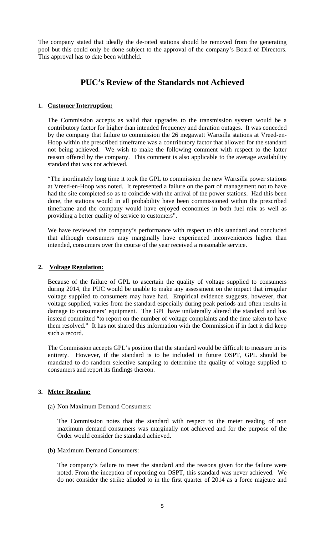The company stated that ideally the de-rated stations should be removed from the generating pool but this could only be done subject to the approval of the company's Board of Directors. This approval has to date been withheld.

# **PUC's Review of the Standards not Achieved**

# **1. Customer Interruption:**

The Commission accepts as valid that upgrades to the transmission system would be a contributory factor for higher than intended frequency and duration outages. It was conceded by the company that failure to commission the 26 megawatt Wartsilla stations at Vreed-en-Hoop within the prescribed timeframe was a contributory factor that allowed for the standard not being achieved. We wish to make the following comment with respect to the latter reason offered by the company. This comment is also applicable to the average availability standard that was not achieved.

"The inordinately long time it took the GPL to commission the new Wartsilla power stations at Vreed-en-Hoop was noted. It represented a failure on the part of management not to have had the site completed so as to coincide with the arrival of the power stations. Had this been done, the stations would in all probability have been commissioned within the prescribed timeframe and the company would have enjoyed economies in both fuel mix as well as providing a better quality of service to customers".

We have reviewed the company's performance with respect to this standard and concluded that although consumers may marginally have experienced inconveniences higher than intended, consumers over the course of the year received a reasonable service.

# **2. Voltage Regulation:**

Because of the failure of GPL to ascertain the quality of voltage supplied to consumers during 2014, the PUC would be unable to make any assessment on the impact that irregular voltage supplied to consumers may have had. Empirical evidence suggests, however, that voltage supplied, varies from the standard especially during peak periods and often results in damage to consumers' equipment. The GPL have unilaterally altered the standard and has instead committed "to report on the number of voltage complaints and the time taken to have them resolved." It has not shared this information with the Commission if in fact it did keep such a record.

The Commission accepts GPL's position that the standard would be difficult to measure in its entirety. However, if the standard is to be included in future OSPT, GPL should be mandated to do random selective sampling to determine the quality of voltage supplied to consumers and report its findings thereon.

# **3. Meter Reading:**

(a) Non Maximum Demand Consumers:

The Commission notes that the standard with respect to the meter reading of non maximum demand consumers was marginally not achieved and for the purpose of the Order would consider the standard achieved.

(b) Maximum Demand Consumers:

The company's failure to meet the standard and the reasons given for the failure were noted. From the inception of reporting on OSPT, this standard was never achieved. We do not consider the strike alluded to in the first quarter of 2014 as a force majeure and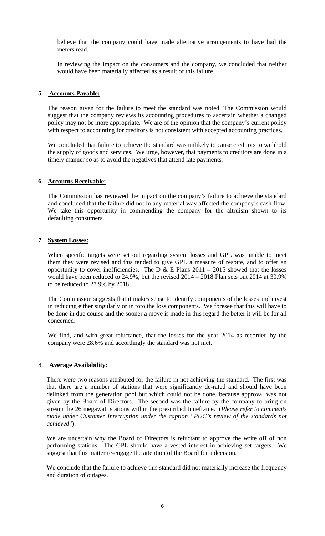believe that the company could have made alternative arrangements to have had the meters read.

In reviewing the impact on the consumers and the company, we concluded that neither would have been materially affected as a result of this failure.

#### **5. Accounts Payable:**

The reason given for the failure to meet the standard was noted. The Commission would suggest that the company reviews its accounting procedures to ascertain whether a changed policy may not be more appropriate. We are of the opinion that the company's current policy with respect to accounting for creditors is not consistent with accepted accounting practices.

We concluded that failure to achieve the standard was unlikely to cause creditors to withhold the supply of goods and services. We urge, however, that payments to creditors are done in a timely manner so as to avoid the negatives that attend late payments.

#### **6. Accounts Receivable:**

The Commission has reviewed the impact on the company's failure to achieve the standard and concluded that the failure did not in any material way affected the company's cash flow. We take this opportunity in commending the company for the altruism shown to its defaulting consumers.

#### **7. System Losses:**

When specific targets were set out regarding system losses and GPL was unable to meet them they were revised and this tended to give GPL a measure of respite, and to offer an opportunity to cover inefficiencies. The D  $\&$  E Plans 2011 – 2015 showed that the losses would have been reduced to 24.9%, but the revised 2014 – 2018 Plan sets out 2014 at 30.9% to be reduced to 27.9% by 2018.

The Commission suggests that it makes sense to identify components of the losses and invest in reducing either singularly or in toto the loss components. We foresee that this will have to be done in due course and the sooner a move is made in this regard the better it will be for all concerned.

We find, and with great reluctance, that the losses for the year 2014 as recorded by the company were 28.6% and accordingly the standard was not met.

#### 8. **Average Availability:**

There were two reasons attributed for the failure in not achieving the standard. The first was that there are a number of stations that were significantly de-rated and should have been delinked from the generation pool but which could not be done, because approval was not given by the Board of Directors. The second was the failure by the company to bring on stream the 26 megawatt stations within the prescribed timeframe. (*Please refer to comments made under Customer Interruption under the caption "PUC's review of the standards not achieved*").

We are uncertain why the Board of Directors is reluctant to approve the write off of non performing stations. The GPL should have a vested interest in achieving set targets. We suggest that this matter re-engage the attention of the Board for a decision.

We conclude that the failure to achieve this standard did not materially increase the frequency and duration of outages.